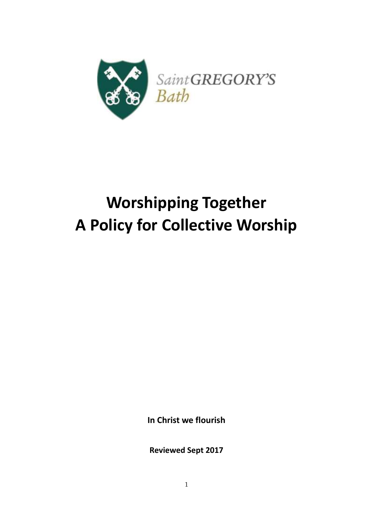

# **Worshipping Together A Policy for Collective Worship**

**In Christ we flourish**

**Reviewed Sept 2017**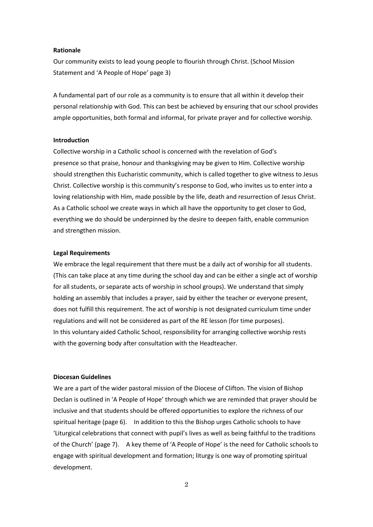#### **Rationale**

Our community exists to lead young people to flourish through Christ. (School Mission Statement and 'A People of Hope' page 3)

A fundamental part of our role as a community is to ensure that all within it develop their personal relationship with God. This can best be achieved by ensuring that our school provides ample opportunities, both formal and informal, for private prayer and for collective worship.

#### **Introduction**

Collective worship in a Catholic school is concerned with the revelation of God's presence so that praise, honour and thanksgiving may be given to Him. Collective worship should strengthen this Eucharistic community, which is called together to give witness to Jesus Christ. Collective worship is this community's response to God, who invites us to enter into a loving relationship with Him, made possible by the life, death and resurrection of Jesus Christ. As a Catholic school we create ways in which all have the opportunity to get closer to God, everything we do should be underpinned by the desire to deepen faith, enable communion and strengthen mission.

#### **Legal Requirements**

We embrace the legal requirement that there must be a daily act of worship for all students. (This can take place at any time during the school day and can be either a single act of worship for all students, or separate acts of worship in school groups). We understand that simply holding an assembly that includes a prayer, said by either the teacher or everyone present, does not fulfill this requirement. The act of worship is not designated curriculum time under regulations and will not be considered as part of the RE lesson (for time purposes). In this voluntary aided Catholic School, responsibility for arranging collective worship rests with the governing body after consultation with the Headteacher.

#### **Diocesan Guidelines**

We are a part of the wider pastoral mission of the Diocese of Clifton. The vision of Bishop Declan is outlined in 'A People of Hope' through which we are reminded that prayer should be inclusive and that students should be offered opportunities to explore the richness of our spiritual heritage (page 6). In addition to this the Bishop urges Catholic schools to have 'Liturgical celebrations that connect with pupil's lives as well as being faithful to the traditions of the Church' (page 7). A key theme of 'A People of Hope' is the need for Catholic schools to engage with spiritual development and formation; liturgy is one way of promoting spiritual development.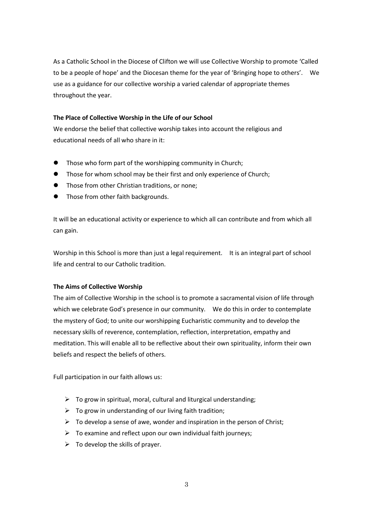As a Catholic School in the Diocese of Clifton we will use Collective Worship to promote 'Called to be a people of hope' and the Diocesan theme for the year of 'Bringing hope to others'. We use as a guidance for our collective worship a varied calendar of appropriate themes throughout the year.

# **The Place of Collective Worship in the Life of our School**

We endorse the belief that collective worship takes into account the religious and educational needs of all who share in it:

- Those who form part of the worshipping community in Church;
- **•** Those for whom school may be their first and only experience of Church;
- **•** Those from other Christian traditions, or none;
- Those from other faith backgrounds.

It will be an educational activity or experience to which all can contribute and from which all can gain.

Worship in this School is more than just a legal requirement. It is an integral part of school life and central to our Catholic tradition.

#### **The Aims of Collective Worship**

The aim of Collective Worship in the school is to promote a sacramental vision of life through which we celebrate God's presence in our community. We do this in order to contemplate the mystery of God; to unite our worshipping Eucharistic community and to develop the necessary skills of reverence, contemplation, reflection, interpretation, empathy and meditation. This will enable all to be reflective about their own spirituality, inform their own beliefs and respect the beliefs of others.

Full participation in our faith allows us:

- $\triangleright$  To grow in spiritual, moral, cultural and liturgical understanding;
- $\triangleright$  To grow in understanding of our living faith tradition;
- $\triangleright$  To develop a sense of awe, wonder and inspiration in the person of Christ;
- $\triangleright$  To examine and reflect upon our own individual faith journeys;
- $\triangleright$  To develop the skills of prayer.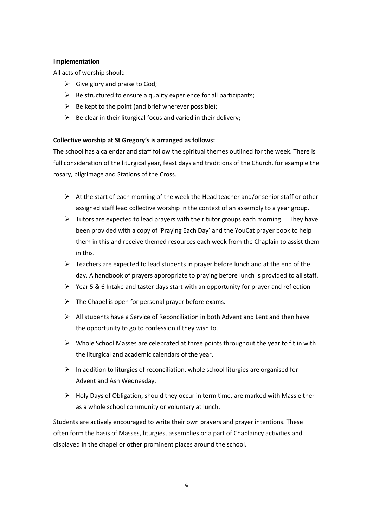# **Implementation**

All acts of worship should:

- $\triangleright$  Give glory and praise to God;
- $\triangleright$  Be structured to ensure a quality experience for all participants;
- $\triangleright$  Be kept to the point (and brief wherever possible);
- $\triangleright$  Be clear in their liturgical focus and varied in their delivery;

# **Collective worship at St Gregory's is arranged as follows:**

The school has a calendar and staff follow the spiritual themes outlined for the week. There is full consideration of the liturgical year, feast days and traditions of the Church, for example the rosary, pilgrimage and Stations of the Cross.

- $\triangleright$  At the start of each morning of the week the Head teacher and/or senior staff or other assigned staff lead collective worship in the context of an assembly to a year group.
- $\triangleright$  Tutors are expected to lead prayers with their tutor groups each morning. They have been provided with a copy of 'Praying Each Day' and the YouCat prayer book to help them in this and receive themed resources each week from the Chaplain to assist them in this.
- $\triangleright$  Teachers are expected to lead students in prayer before lunch and at the end of the day. A handbook of prayers appropriate to praying before lunch is provided to all staff.
- $\triangleright$  Year 5 & 6 Intake and taster days start with an opportunity for prayer and reflection
- $\triangleright$  The Chapel is open for personal prayer before exams.
- $\triangleright$  All students have a Service of Reconciliation in both Advent and Lent and then have the opportunity to go to confession if they wish to.
- $\triangleright$  Whole School Masses are celebrated at three points throughout the year to fit in with the liturgical and academic calendars of the year.
- $\triangleright$  In addition to liturgies of reconciliation, whole school liturgies are organised for Advent and Ash Wednesday.
- $\triangleright$  Holy Days of Obligation, should they occur in term time, are marked with Mass either as a whole school community or voluntary at lunch.

Students are actively encouraged to write their own prayers and prayer intentions. These often form the basis of Masses, liturgies, assemblies or a part of Chaplaincy activities and displayed in the chapel or other prominent places around the school.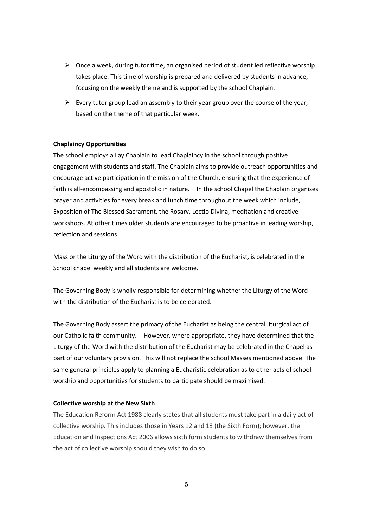- $\triangleright$  Once a week, during tutor time, an organised period of student led reflective worship takes place. This time of worship is prepared and delivered by students in advance, focusing on the weekly theme and is supported by the school Chaplain.
- $\triangleright$  Every tutor group lead an assembly to their year group over the course of the year, based on the theme of that particular week.

#### **Chaplaincy Opportunities**

The school employs a Lay Chaplain to lead Chaplaincy in the school through positive engagement with students and staff. The Chaplain aims to provide outreach opportunities and encourage active participation in the mission of the Church, ensuring that the experience of faith is all-encompassing and apostolic in nature. In the school Chapel the Chaplain organises prayer and activities for every break and lunch time throughout the week which include, Exposition of The Blessed Sacrament, the Rosary, Lectio Divina, meditation and creative workshops. At other times older students are encouraged to be proactive in leading worship, reflection and sessions.

Mass or the Liturgy of the Word with the distribution of the Eucharist, is celebrated in the School chapel weekly and all students are welcome.

The Governing Body is wholly responsible for determining whether the Liturgy of the Word with the distribution of the Eucharist is to be celebrated.

The Governing Body assert the primacy of the Eucharist as being the central liturgical act of our Catholic faith community. However, where appropriate, they have determined that the Liturgy of the Word with the distribution of the Eucharist may be celebrated in the Chapel as part of our voluntary provision. This will not replace the school Masses mentioned above. The same general principles apply to planning a Eucharistic celebration as to other acts of school worship and opportunities for students to participate should be maximised.

#### **Collective worship at the New Sixth**

The Education Reform Act 1988 clearly states that all students must take part in a daily act of collective worship. This includes those in Years 12 and 13 (the Sixth Form); however, the Education and Inspections Act 2006 allows sixth form students to withdraw themselves from the act of collective worship should they wish to do so.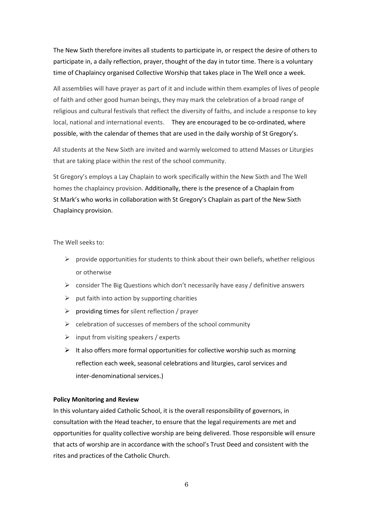The New Sixth therefore invites all students to participate in, or respect the desire of others to participate in, a daily reflection, prayer, thought of the day in tutor time. There is a voluntary time of Chaplaincy organised Collective Worship that takes place in The Well once a week.

All assemblies will have prayer as part of it and include within them examples of lives of people of faith and other good human beings, they may mark the celebration of a broad range of religious and cultural festivals that reflect the diversity of faiths, and include a response to key local, national and international events. They are encouraged to be co-ordinated, where possible, with the calendar of themes that are used in the daily worship of St Gregory's.

All students at the New Sixth are invited and warmly welcomed to attend Masses or Liturgies that are taking place within the rest of the school community.

St Gregory's employs a Lay Chaplain to work specifically within the New Sixth and The Well homes the chaplaincy provision. Additionally, there is the presence of a Chaplain from St Mark's who works in collaboration with St Gregory's Chaplain as part of the New Sixth Chaplaincy provision.

The Well seeks to:

- $\triangleright$  provide opportunities for students to think about their own beliefs, whether religious or otherwise
- $\triangleright$  consider The Big Questions which don't necessarily have easy / definitive answers
- $\triangleright$  put faith into action by supporting charities
- $\triangleright$  providing times for silent reflection / prayer
- $\triangleright$  celebration of successes of members of the school community
- $\triangleright$  input from visiting speakers / experts
- $\triangleright$  It also offers more formal opportunities for collective worship such as morning reflection each week, seasonal celebrations and liturgies, carol services and inter-denominational services.)

# **Policy Monitoring and Review**

In this voluntary aided Catholic School, it is the overall responsibility of governors, in consultation with the Head teacher, to ensure that the legal requirements are met and opportunities for quality collective worship are being delivered. Those responsible will ensure that acts of worship are in accordance with the school's Trust Deed and consistent with the rites and practices of the Catholic Church.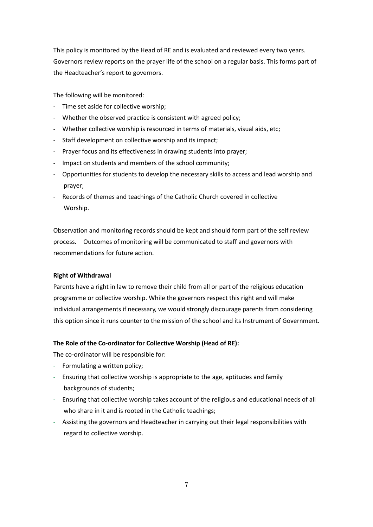This policy is monitored by the Head of RE and is evaluated and reviewed every two years. Governors review reports on the prayer life of the school on a regular basis. This forms part of the Headteacher's report to governors.

The following will be monitored:

- Time set aside for collective worship;
- Whether the observed practice is consistent with agreed policy;
- Whether collective worship is resourced in terms of materials, visual aids, etc;
- Staff development on collective worship and its impact;
- Prayer focus and its effectiveness in drawing students into prayer;
- Impact on students and members of the school community;
- Opportunities for students to develop the necessary skills to access and lead worship and prayer;
- Records of themes and teachings of the Catholic Church covered in collective Worship.

Observation and monitoring records should be kept and should form part of the self review process. Outcomes of monitoring will be communicated to staff and governors with recommendations for future action.

# **Right of Withdrawal**

Parents have a right in law to remove their child from all or part of the religious education programme or collective worship. While the governors respect this right and will make individual arrangements if necessary, we would strongly discourage parents from considering this option since it runs counter to the mission of the school and its Instrument of Government.

# **The Role of the Co-ordinator for Collective Worship (Head of RE):**

The co-ordinator will be responsible for:

- Formulating a written policy;
- Ensuring that collective worship is appropriate to the age, aptitudes and family backgrounds of students;
- Ensuring that collective worship takes account of the religious and educational needs of all who share in it and is rooted in the Catholic teachings;
- Assisting the governors and Headteacher in carrying out their legal responsibilities with regard to collective worship.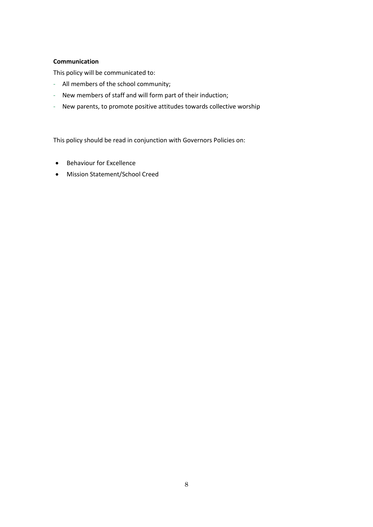# **Communication**

This policy will be communicated to:

- All members of the school community;
- New members of staff and will form part of their induction;
- New parents, to promote positive attitudes towards collective worship

This policy should be read in conjunction with Governors Policies on:

- **•** Behaviour for Excellence
- Mission Statement/School Creed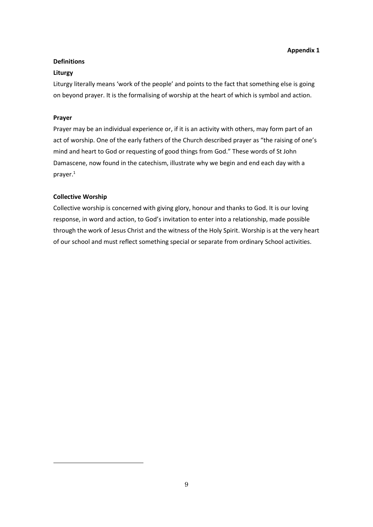# **Definitions**

## **Liturgy**

Liturgy literally means 'work of the people' and points to the fact that something else is going on beyond prayer. It is the formalising of worship at the heart of which is symbol and action.

# **Prayer**

-

Prayer may be an individual experience or, if it is an activity with others, may form part of an act of worship. One of the early fathers of the Church described prayer as "the raising of one's mind and heart to God or requesting of good things from God." These words of St John Damascene, now found in the catechism, illustrate why we begin and end each day with a prayer.<sup>1</sup>

# **Collective Worship**

Collective worship is concerned with giving glory, honour and thanks to God. It is our loving response, in word and action, to God's invitation to enter into a relationship, made possible through the work of Jesus Christ and the witness of the Holy Spirit. Worship is at the very heart of our school and must reflect something special or separate from ordinary School activities.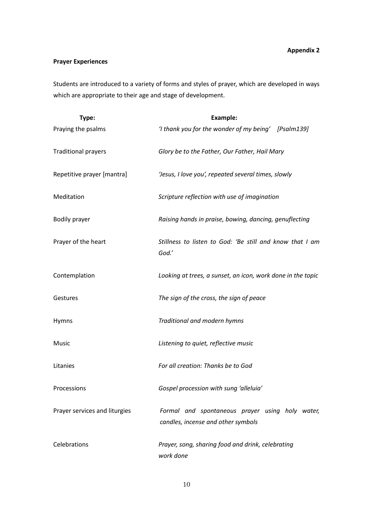# **Appendix 2**

# **Prayer Experiences**

Students are introduced to a variety of forms and styles of prayer, which are developed in ways which are appropriate to their age and stage of development.

| Type:                         | Example:                                                                              |
|-------------------------------|---------------------------------------------------------------------------------------|
| Praying the psalms            | 'I thank you for the wonder of my being' [Psalm139]                                   |
| <b>Traditional prayers</b>    | Glory be to the Father, Our Father, Hail Mary                                         |
| Repetitive prayer [mantra]    | 'Jesus, I love you', repeated several times, slowly                                   |
| Meditation                    | Scripture reflection with use of imagination                                          |
| <b>Bodily prayer</b>          | Raising hands in praise, bowing, dancing, genuflecting                                |
| Prayer of the heart           | Stillness to listen to God: 'Be still and know that I am<br>God.'                     |
| Contemplation                 | Looking at trees, a sunset, an icon, work done in the topic                           |
| Gestures                      | The sign of the cross, the sign of peace                                              |
| Hymns                         | Traditional and modern hymns                                                          |
| Music                         | Listening to quiet, reflective music                                                  |
| Litanies                      | For all creation: Thanks be to God                                                    |
| Processions                   | Gospel procession with sung 'alleluia'                                                |
| Prayer services and liturgies | Formal and spontaneous prayer using holy water,<br>candles, incense and other symbols |
| Celebrations                  | Prayer, song, sharing food and drink, celebrating<br>work done                        |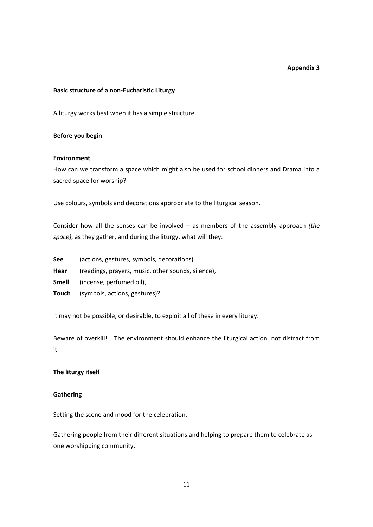#### **Appendix 3**

#### **Basic structure of a non-Eucharistic Liturgy**

A liturgy works best when it has a simple structure.

#### **Before you begin**

#### **Environment**

How can we transform a space which might also be used for school dinners and Drama into a sacred space for worship?

Use colours, symbols and decorations appropriate to the liturgical season.

Consider how all the senses can be involved – as members of the assembly approach *(the space)*, as they gather, and during the liturgy, what will they:

- **See** (actions, gestures, symbols, decorations)
- **Hear** (readings, prayers, music, other sounds, silence),
- **Smell** (incense, perfumed oil),
- **Touch** (symbols, actions, gestures)?

It may not be possible, or desirable, to exploit all of these in every liturgy.

Beware of overkill! The environment should enhance the liturgical action, not distract from it.

## **The liturgy itself**

# **Gathering**

Setting the scene and mood for the celebration.

Gathering people from their different situations and helping to prepare them to celebrate as one worshipping community.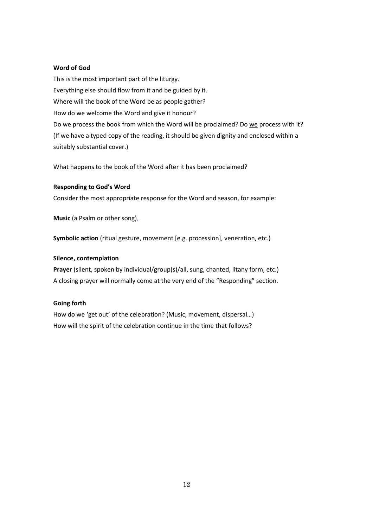# **Word of God**

This is the most important part of the liturgy. Everything else should flow from it and be guided by it. Where will the book of the Word be as people gather? How do we welcome the Word and give it honour? Do we process the book from which the Word will be proclaimed? Do we process with it? (If we have a typed copy of the reading, it should be given dignity and enclosed within a suitably substantial cover.)

What happens to the book of the Word after it has been proclaimed?

#### **Responding to God's Word**

Consider the most appropriate response for the Word and season, for example:

**Music** (a Psalm or other song),

**Symbolic action** (ritual gesture, movement [e.g. procession], veneration, etc.)

#### **Silence, contemplation**

**Prayer** (silent, spoken by individual/group(s)/all, sung, chanted, litany form, etc.) A closing prayer will normally come at the very end of the "Responding" section.

#### **Going forth**

How do we 'get out' of the celebration? (Music, movement, dispersal…) How will the spirit of the celebration continue in the time that follows?